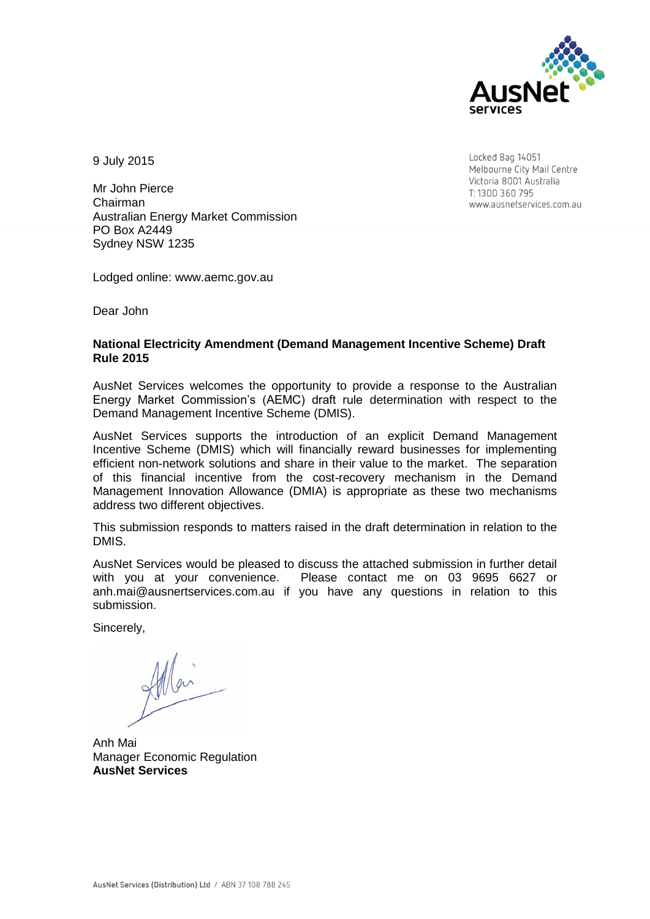

9 July 2015

Locked Bag 14051 Melbourne City Mail Centre Victoria 8001 Australia T: 1300 360 795 www.ausnetservices.com.au

Mr John Pierce Chairman Australian Energy Market Commission PO Box A2449 Sydney NSW 1235

Lodged online: [www.aemc.gov.au](mailto:TransGridrevenuereset@aer.gov.au) 

Dear John

# **National Electricity Amendment (Demand Management Incentive Scheme) Draft Rule 2015**

AusNet Services welcomes the opportunity to provide a response to the Australian Energy Market Commission's (AEMC) draft rule determination with respect to the Demand Management Incentive Scheme (DMIS).

AusNet Services supports the introduction of an explicit Demand Management Incentive Scheme (DMIS) which will financially reward businesses for implementing efficient non-network solutions and share in their value to the market. The separation of this financial incentive from the cost-recovery mechanism in the Demand Management Innovation Allowance (DMIA) is appropriate as these two mechanisms address two different objectives.

This submission responds to matters raised in the draft determination in relation to the DMIS.

AusNet Services would be pleased to discuss the attached submission in further detail with you at your convenience. Please contact me on 03 9695 6627 or [anh.mai@ausnertservices.com.au](mailto:anh.mai@ausnertservices.com.au) if you have any questions in relation to this submission.

Sincerely,

Anh Mai Manager Economic Regulation **AusNet Services**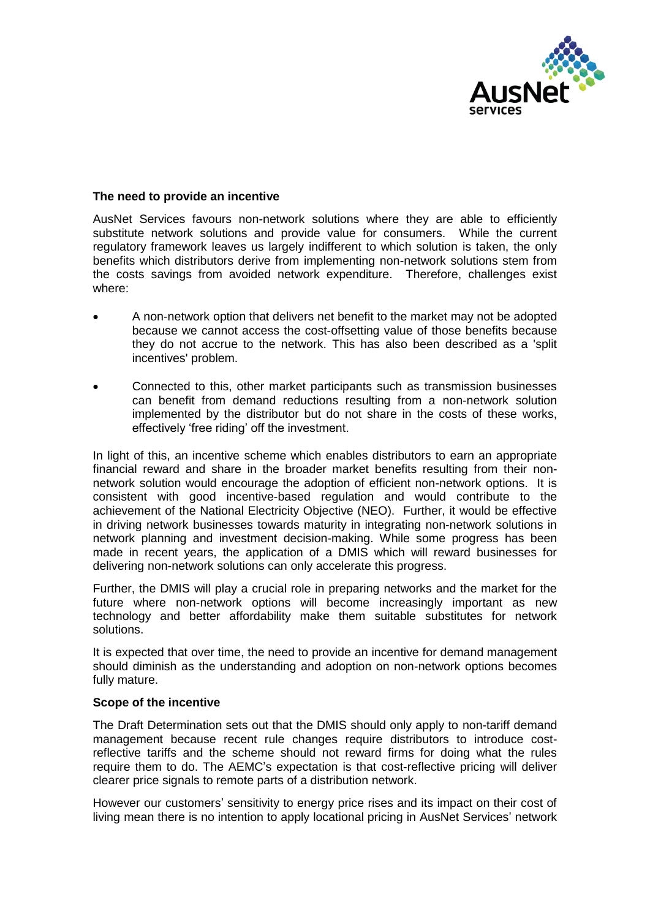

# **The need to provide an incentive**

AusNet Services favours non-network solutions where they are able to efficiently substitute network solutions and provide value for consumers. While the current regulatory framework leaves us largely indifferent to which solution is taken, the only benefits which distributors derive from implementing non-network solutions stem from the costs savings from avoided network expenditure. Therefore, challenges exist where:

- A non-network option that delivers net benefit to the market may not be adopted because we cannot access the cost-offsetting value of those benefits because they do not accrue to the network. This has also been described as a 'split incentives' problem.
- Connected to this, other market participants such as transmission businesses can benefit from demand reductions resulting from a non-network solution implemented by the distributor but do not share in the costs of these works, effectively 'free riding' off the investment.

In light of this, an incentive scheme which enables distributors to earn an appropriate financial reward and share in the broader market benefits resulting from their nonnetwork solution would encourage the adoption of efficient non-network options. It is consistent with good incentive-based regulation and would contribute to the achievement of the National Electricity Objective (NEO). Further, it would be effective in driving network businesses towards maturity in integrating non-network solutions in network planning and investment decision-making. While some progress has been made in recent years, the application of a DMIS which will reward businesses for delivering non-network solutions can only accelerate this progress.

Further, the DMIS will play a crucial role in preparing networks and the market for the future where non-network options will become increasingly important as new technology and better affordability make them suitable substitutes for network solutions.

It is expected that over time, the need to provide an incentive for demand management should diminish as the understanding and adoption on non-network options becomes fully mature.

### **Scope of the incentive**

The Draft Determination sets out that the DMIS should only apply to non-tariff demand management because recent rule changes require distributors to introduce costreflective tariffs and the scheme should not reward firms for doing what the rules require them to do. The AEMC's expectation is that cost-reflective pricing will deliver clearer price signals to remote parts of a distribution network.

However our customers' sensitivity to energy price rises and its impact on their cost of living mean there is no intention to apply locational pricing in AusNet Services' network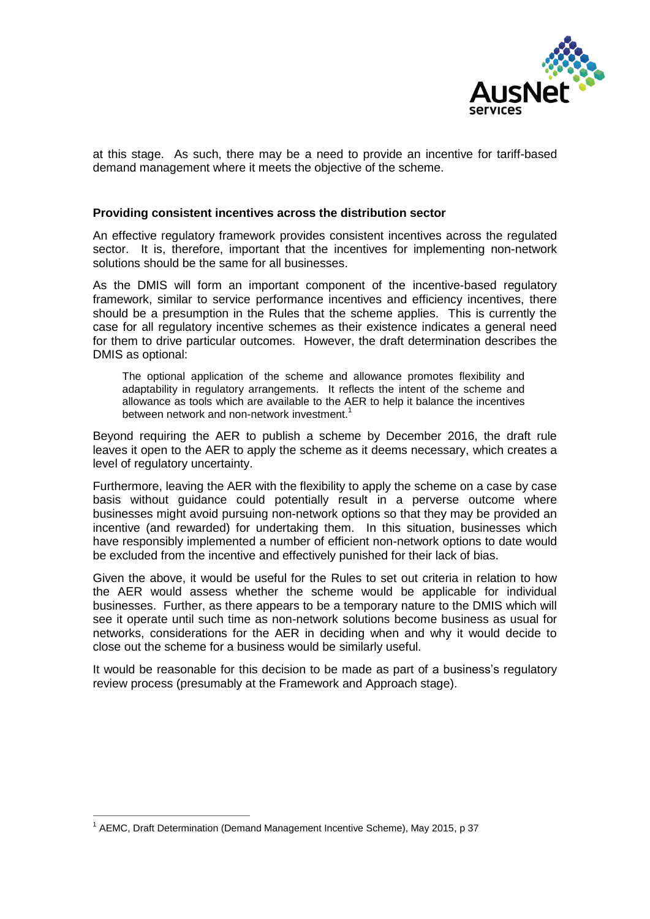

at this stage. As such, there may be a need to provide an incentive for tariff-based demand management where it meets the objective of the scheme.

## **Providing consistent incentives across the distribution sector**

An effective regulatory framework provides consistent incentives across the regulated sector. It is, therefore, important that the incentives for implementing non-network solutions should be the same for all businesses.

As the DMIS will form an important component of the incentive-based regulatory framework, similar to service performance incentives and efficiency incentives, there should be a presumption in the Rules that the scheme applies. This is currently the case for all regulatory incentive schemes as their existence indicates a general need for them to drive particular outcomes. However, the draft determination describes the DMIS as optional:

The optional application of the scheme and allowance promotes flexibility and adaptability in regulatory arrangements. It reflects the intent of the scheme and allowance as tools which are available to the AER to help it balance the incentives between network and non-network investment.<sup>1</sup>

Beyond requiring the AER to publish a scheme by December 2016, the draft rule leaves it open to the AER to apply the scheme as it deems necessary, which creates a level of regulatory uncertainty.

Furthermore, leaving the AER with the flexibility to apply the scheme on a case by case basis without guidance could potentially result in a perverse outcome where businesses might avoid pursuing non-network options so that they may be provided an incentive (and rewarded) for undertaking them. In this situation, businesses which have responsibly implemented a number of efficient non-network options to date would be excluded from the incentive and effectively punished for their lack of bias.

Given the above, it would be useful for the Rules to set out criteria in relation to how the AER would assess whether the scheme would be applicable for individual businesses. Further, as there appears to be a temporary nature to the DMIS which will see it operate until such time as non-network solutions become business as usual for networks, considerations for the AER in deciding when and why it would decide to close out the scheme for a business would be similarly useful.

It would be reasonable for this decision to be made as part of a business's regulatory review process (presumably at the Framework and Approach stage).

-

<sup>&</sup>lt;sup>1</sup> AEMC, Draft Determination (Demand Management Incentive Scheme), May 2015, p 37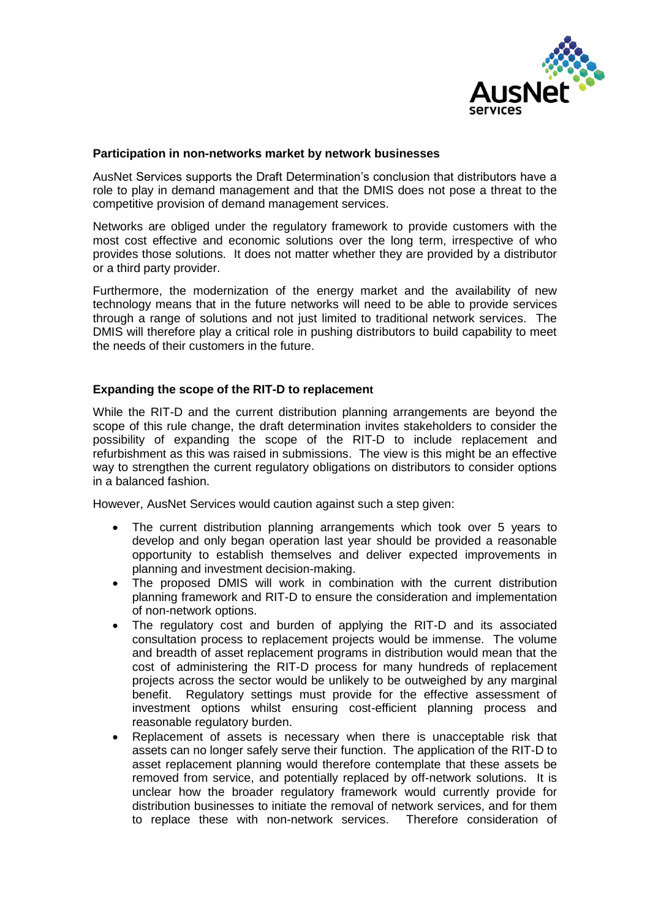

# **Participation in non-networks market by network businesses**

AusNet Services supports the Draft Determination's conclusion that distributors have a role to play in demand management and that the DMIS does not pose a threat to the competitive provision of demand management services.

Networks are obliged under the regulatory framework to provide customers with the most cost effective and economic solutions over the long term, irrespective of who provides those solutions. It does not matter whether they are provided by a distributor or a third party provider.

Furthermore, the modernization of the energy market and the availability of new technology means that in the future networks will need to be able to provide services through a range of solutions and not just limited to traditional network services. The DMIS will therefore play a critical role in pushing distributors to build capability to meet the needs of their customers in the future.

# **Expanding the scope of the RIT-D to replacement**

While the RIT-D and the current distribution planning arrangements are beyond the scope of this rule change, the draft determination invites stakeholders to consider the possibility of expanding the scope of the RIT-D to include replacement and refurbishment as this was raised in submissions. The view is this might be an effective way to strengthen the current regulatory obligations on distributors to consider options in a balanced fashion.

However, AusNet Services would caution against such a step given:

- The current distribution planning arrangements which took over 5 years to develop and only began operation last year should be provided a reasonable opportunity to establish themselves and deliver expected improvements in planning and investment decision-making.
- The proposed DMIS will work in combination with the current distribution planning framework and RIT-D to ensure the consideration and implementation of non-network options.
- The regulatory cost and burden of applying the RIT-D and its associated consultation process to replacement projects would be immense. The volume and breadth of asset replacement programs in distribution would mean that the cost of administering the RIT-D process for many hundreds of replacement projects across the sector would be unlikely to be outweighed by any marginal benefit. Regulatory settings must provide for the effective assessment of investment options whilst ensuring cost-efficient planning process and reasonable regulatory burden.
- Replacement of assets is necessary when there is unacceptable risk that assets can no longer safely serve their function. The application of the RIT-D to asset replacement planning would therefore contemplate that these assets be removed from service, and potentially replaced by off-network solutions. It is unclear how the broader regulatory framework would currently provide for distribution businesses to initiate the removal of network services, and for them to replace these with non-network services. Therefore consideration of